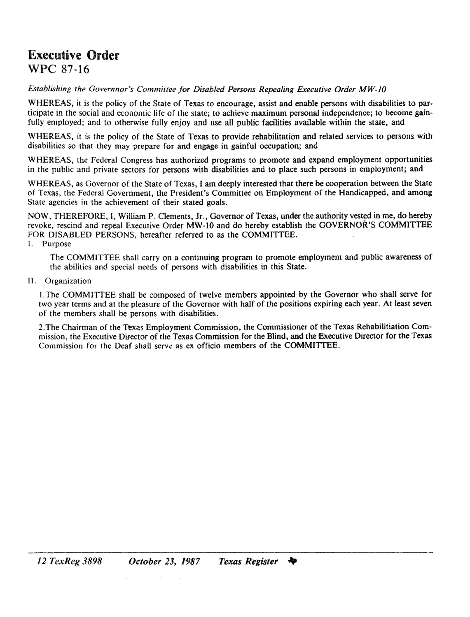## Executive **Order** WPC 87-16

*Establishing the Governnor's Committee for Disabled Persons Repealing Executive Order MW·JO*

WHEREAS, it is the policy of the State of Texas to encourage, assist and enable persons with disabilities to participate in the social and economic life of the state; to achieve maximum personal independence; to become gainfully employed; and to otherwise fully enjoy and use all public facilities available within the state, and

WHEREAS, it is the policy of the State of Texas to provide rehabilitation and related services to persons with disabilities so that they may prepare for and engage in gainful occupation; and

WHEREAS, the Federal Congress has authorized programs to promote and expand employment opportunities in the public and private sectors for persons with disabilities and to place such persons in employment; and

WHEREAS, as Governor of the State of Texas, I am deeply interested that there be cooperation between the State of Texas, the Federal Government, the President's Committee on Employment of the Handicapped, and among State agencies in the achievement of their stated goals.

NOW, THEREFORE, I, William P. Clements, Jr., Governor of Texas, under the authority vested in me, do hereby revoke, rescind and repeal Executive Order MW-lO and do hereby establish the GOVERNOR'S COMMITTEE FOR DISABLED PERSONS, hereafter referred to as the COMMITTEE. I. Purpose

The COMMITTEE shall carry on a continuing program to promote employment and public awareness of the abilities and special needs of persons with disabilities in this State.

II. Organization

I. The COMMITTEE shall be composed of twelve members appointed by the Governor who shall serve for two year terms and at the pleasure of the Governor with half of the positions expiring each year. At least seven of the members shall be persons with disabilities.

2. The Chairman of the Texas Employment Commission, the Commissioner of the Texas Rehabilitiation Commission, the Executive Director of the Texas Commission for the Blind, and the Executive Director for the Texas Commission for the Deaf shall serw as ex officio members of the COMMITTEE.